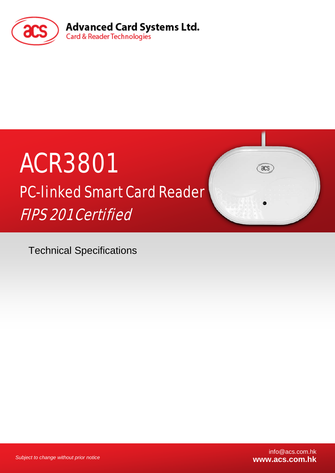

# ACR3801 PC-linked Smart Card Reader FIPS 201 Certified

Technical Specifications

*Subject to change without prior notice*

 $\overline{a}$ cs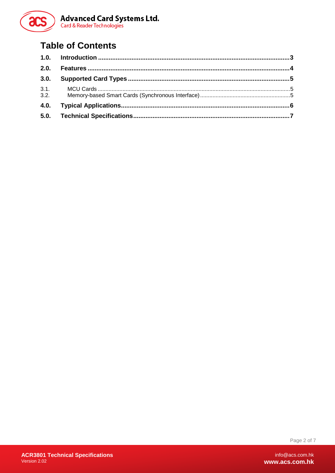

## **Table of Contents**

Page 2 of 7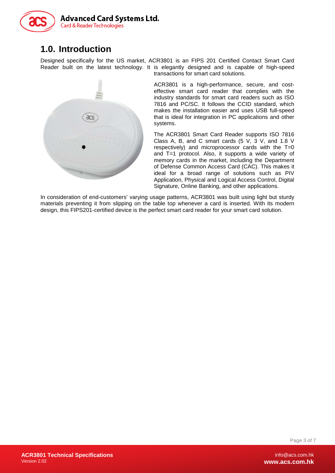

#### <span id="page-2-0"></span>**1.0. Introduction**

Designed specifically for the US market, ACR3801 is an FIPS 201 Certified Contact Smart Card Reader built on the latest technology. It is elegantly designed and is capable of high-speed transactions for smart card solutions.



ACR3801 is a high-performance, secure, and costeffective smart card reader that complies with the industry standards for smart card readers such as ISO 7816 and PC/SC. It follows the CCID standard, which makes the installation easier and uses USB full-speed that is ideal for integration in PC applications and other systems.

The ACR3801 Smart Card Reader supports ISO 7816 Class A, B, and C smart cards (5 V, 3 V, and 1.8 V respectively) and microprocessor cards with the T=0 and T=1 protocol. Also, it supports a wide variety of memory cards in the market, including the Department of Defense Common Access Card (CAC). This makes it ideal for a broad range of solutions such as PIV Application, Physical and Logical Access Control, Digital Signature, Online Banking, and other applications.

In consideration of end-customers' varying usage patterns, ACR3801 was built using light but sturdy materials preventing it from slipping on the table top whenever a card is inserted. With its modern design, this FIPS201-certified device is the perfect smart card reader for your smart card solution.

Page 3 of 7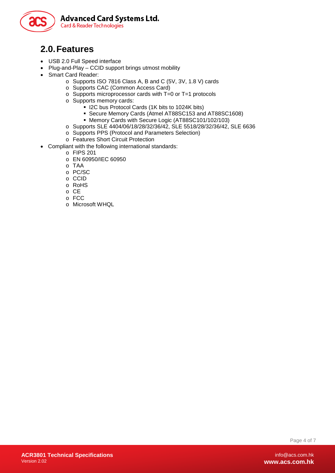

#### <span id="page-3-0"></span>**2.0.Features**

- USB 2.0 Full Speed interface
- Plug-and-Play CCID support brings utmost mobility
- Smart Card Reader:
	- o Supports ISO 7816 Class A, B and C (5V, 3V, 1.8 V) cards
	- o Supports CAC (Common Access Card)
	- o Supports microprocessor cards with T=0 or T=1 protocols
	- o Supports memory cards:
		- **I** I2C bus Protocol Cards (1K bits to 1024K bits)
			- Secure Memory Cards (Atmel AT88SC153 and AT88SC1608)
		- Memory Cards with Secure Logic (AT88SC101/102/103)
	- o Supports SLE 4404/06/18/28/32/36/42, SLE 5518/28/32/36/42, SLE 6636
	- o Supports PPS (Protocol and Parameters Selection)
	- o Features Short Circuit Protection
- Compliant with the following international standards:
	- o FIPS 201
	- o EN 60950/IEC 60950
	- o TAA
	- o PC/SC
	- o CCID
	- o RoHS
	- o CE
	- o FCC
	- o Microsoft WHQL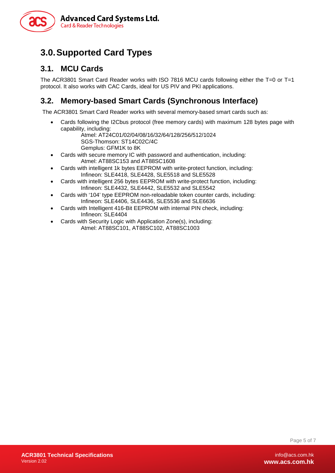

### <span id="page-4-0"></span>**3.0.Supported Card Types**

#### <span id="page-4-1"></span>**3.1. MCU Cards**

The ACR3801 Smart Card Reader works with ISO 7816 MCU cards following either the T=0 or T=1 protocol. It also works with CAC Cards, ideal for US PIV and PKI applications.

#### <span id="page-4-2"></span>**3.2. Memory-based Smart Cards (Synchronous Interface)**

The ACR3801 Smart Card Reader works with several memory-based smart cards such as:

- Cards following the I2Cbus protocol (free memory cards) with maximum 128 bytes page with capability, including:
	- Atmel: AT24C01/02/04/08/16/32/64/128/256/512/1024 SGS-Thomson: ST14C02C/4C Gemplus: GFM1K to 8K
- Cards with secure memory IC with password and authentication, including: Atmel: AT88SC153 and AT88SC1608
- Cards with intelligent 1k bytes EEPROM with write-protect function, including: Infineon: SLE4418, SLE4428, SLE5518 and SLE5528
- Cards with intelligent 256 bytes EEPROM with write-protect function, including: Infineon: SLE4432, SLE4442, SLE5532 and SLE5542
- Cards with '104' type EEPROM non-reloadable token counter cards, including: Infineon: SLE4406, SLE4436, SLE5536 and SLE6636
- Cards with Intelligent 416-Bit EEPROM with internal PIN check, including: Infineon: SLE4404
- Cards with Security Logic with Application Zone(s), including: Atmel: AT88SC101, AT88SC102, AT88SC1003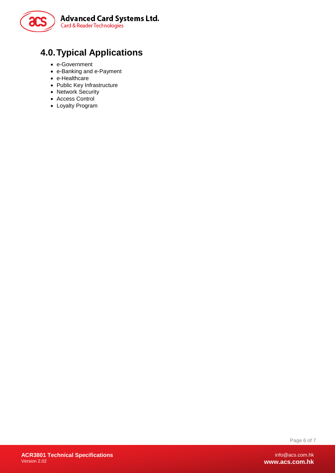

## <span id="page-5-0"></span>**4.0.Typical Applications**

- e-Government
- e-Banking and e-Payment
- e-Healthcare
- Public Key Infrastructure
- Network Security
- Access Control
- Loyalty Program

Page 6 of 7